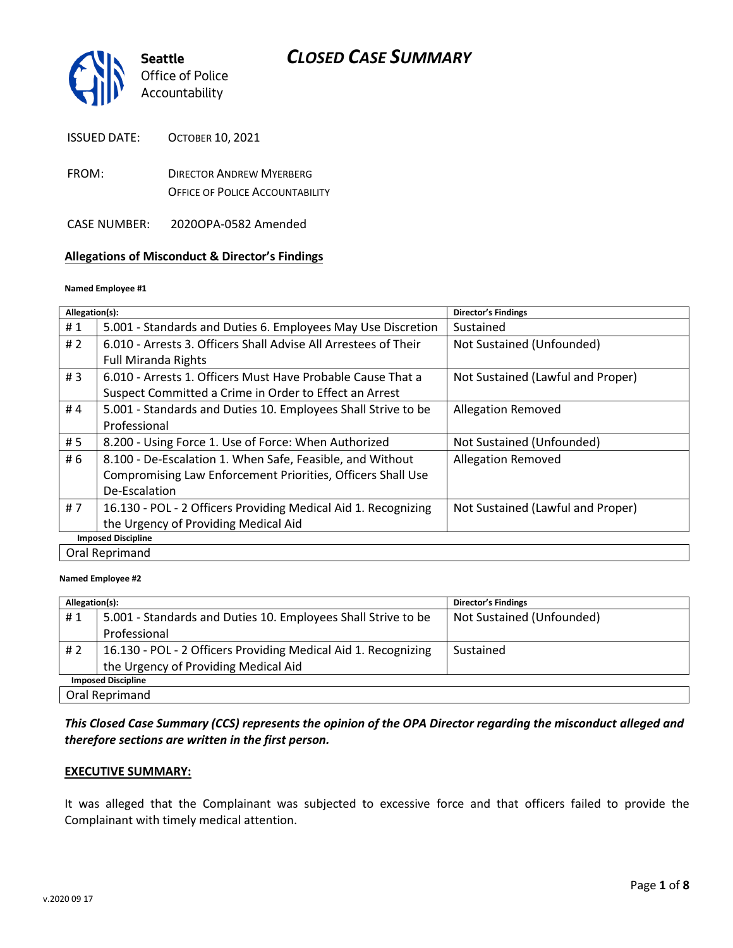

| <b>ISSUED DATE:</b> | <b>OCTOBER 10, 2021</b> |
|---------------------|-------------------------|
|                     |                         |

FROM: DIRECTOR ANDREW MYERBERG OFFICE OF POLICE ACCOUNTABILITY

CASE NUMBER: 2020OPA-0582 Amended

#### **Allegations of Misconduct & Director's Findings**

#### **Named Employee #1**

| Allegation(s):            |                                                                 | Director's Findings               |
|---------------------------|-----------------------------------------------------------------|-----------------------------------|
| #1                        | 5.001 - Standards and Duties 6. Employees May Use Discretion    | Sustained                         |
| #2                        | 6.010 - Arrests 3. Officers Shall Advise All Arrestees of Their | Not Sustained (Unfounded)         |
|                           | <b>Full Miranda Rights</b>                                      |                                   |
| #3                        | 6.010 - Arrests 1. Officers Must Have Probable Cause That a     | Not Sustained (Lawful and Proper) |
|                           | Suspect Committed a Crime in Order to Effect an Arrest          |                                   |
| #4                        | 5.001 - Standards and Duties 10. Employees Shall Strive to be   | <b>Allegation Removed</b>         |
|                           | Professional                                                    |                                   |
| # 5                       | 8.200 - Using Force 1. Use of Force: When Authorized            | Not Sustained (Unfounded)         |
| # 6                       | 8.100 - De-Escalation 1. When Safe, Feasible, and Without       | <b>Allegation Removed</b>         |
|                           | Compromising Law Enforcement Priorities, Officers Shall Use     |                                   |
|                           | De-Escalation                                                   |                                   |
| #7                        | 16.130 - POL - 2 Officers Providing Medical Aid 1. Recognizing  | Not Sustained (Lawful and Proper) |
|                           | the Urgency of Providing Medical Aid                            |                                   |
| <b>Imposed Discipline</b> |                                                                 |                                   |
|                           | Oral Reprimand                                                  |                                   |

#### **Named Employee #2**

| Allegation(s):            |                                                                | <b>Director's Findings</b> |
|---------------------------|----------------------------------------------------------------|----------------------------|
| #1                        | 5.001 - Standards and Duties 10. Employees Shall Strive to be  | Not Sustained (Unfounded)  |
|                           | Professional                                                   |                            |
| # 2                       | 16.130 - POL - 2 Officers Providing Medical Aid 1. Recognizing | Sustained                  |
|                           | the Urgency of Providing Medical Aid                           |                            |
| <b>Imposed Discipline</b> |                                                                |                            |
| Oral Reprimand            |                                                                |                            |

### *This Closed Case Summary (CCS) represents the opinion of the OPA Director regarding the misconduct alleged and therefore sections are written in the first person.*

#### **EXECUTIVE SUMMARY:**

It was alleged that the Complainant was subjected to excessive force and that officers failed to provide the Complainant with timely medical attention.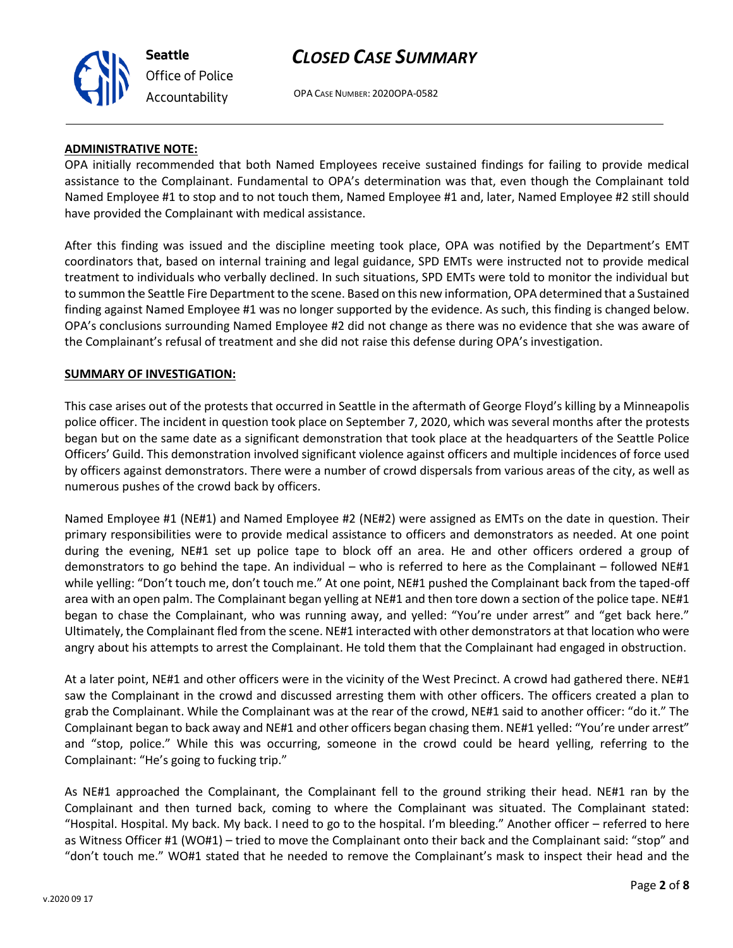## *CLOSED CASE SUMMARY*



OPA CASE NUMBER: 2020OPA-0582

#### **ADMINISTRATIVE NOTE:**

OPA initially recommended that both Named Employees receive sustained findings for failing to provide medical assistance to the Complainant. Fundamental to OPA's determination was that, even though the Complainant told Named Employee #1 to stop and to not touch them, Named Employee #1 and, later, Named Employee #2 still should have provided the Complainant with medical assistance.

After this finding was issued and the discipline meeting took place, OPA was notified by the Department's EMT coordinators that, based on internal training and legal guidance, SPD EMTs were instructed not to provide medical treatment to individuals who verbally declined. In such situations, SPD EMTs were told to monitor the individual but to summon the Seattle Fire Department to the scene. Based on this new information, OPA determined that a Sustained finding against Named Employee #1 was no longer supported by the evidence. As such, this finding is changed below. OPA's conclusions surrounding Named Employee #2 did not change as there was no evidence that she was aware of the Complainant's refusal of treatment and she did not raise this defense during OPA's investigation.

#### **SUMMARY OF INVESTIGATION:**

This case arises out of the protests that occurred in Seattle in the aftermath of George Floyd's killing by a Minneapolis police officer. The incident in question took place on September 7, 2020, which was several months after the protests began but on the same date as a significant demonstration that took place at the headquarters of the Seattle Police Officers' Guild. This demonstration involved significant violence against officers and multiple incidences of force used by officers against demonstrators. There were a number of crowd dispersals from various areas of the city, as well as numerous pushes of the crowd back by officers.

Named Employee #1 (NE#1) and Named Employee #2 (NE#2) were assigned as EMTs on the date in question. Their primary responsibilities were to provide medical assistance to officers and demonstrators as needed. At one point during the evening, NE#1 set up police tape to block off an area. He and other officers ordered a group of demonstrators to go behind the tape. An individual – who is referred to here as the Complainant – followed NE#1 while yelling: "Don't touch me, don't touch me." At one point, NE#1 pushed the Complainant back from the taped-off area with an open palm. The Complainant began yelling at NE#1 and then tore down a section of the police tape. NE#1 began to chase the Complainant, who was running away, and yelled: "You're under arrest" and "get back here." Ultimately, the Complainant fled from the scene. NE#1 interacted with other demonstrators at that location who were angry about his attempts to arrest the Complainant. He told them that the Complainant had engaged in obstruction.

At a later point, NE#1 and other officers were in the vicinity of the West Precinct. A crowd had gathered there. NE#1 saw the Complainant in the crowd and discussed arresting them with other officers. The officers created a plan to grab the Complainant. While the Complainant was at the rear of the crowd, NE#1 said to another officer: "do it." The Complainant began to back away and NE#1 and other officers began chasing them. NE#1 yelled: "You're under arrest" and "stop, police." While this was occurring, someone in the crowd could be heard yelling, referring to the Complainant: "He's going to fucking trip."

As NE#1 approached the Complainant, the Complainant fell to the ground striking their head. NE#1 ran by the Complainant and then turned back, coming to where the Complainant was situated. The Complainant stated: "Hospital. Hospital. My back. My back. I need to go to the hospital. I'm bleeding." Another officer – referred to here as Witness Officer #1 (WO#1) – tried to move the Complainant onto their back and the Complainant said: "stop" and "don't touch me." WO#1 stated that he needed to remove the Complainant's mask to inspect their head and the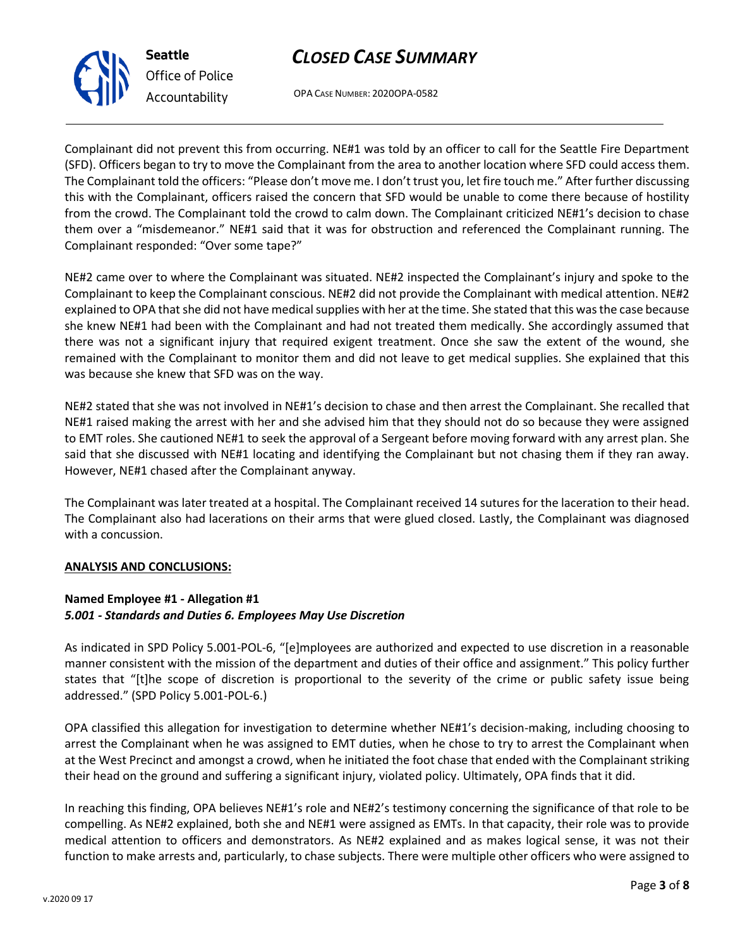#### there was not a significant injury that required exigent treatment. Once she saw the extent of the wound, she remained with the Complainant to monitor them and did not leave to get medical supplies. She explained that this

was because she knew that SFD was on the way.

Complainant responded: "Over some tape?"

NE#2 stated that she was not involved in NE#1's decision to chase and then arrest the Complainant. She recalled that NE#1 raised making the arrest with her and she advised him that they should not do so because they were assigned to EMT roles. She cautioned NE#1 to seek the approval of a Sergeant before moving forward with any arrest plan. She said that she discussed with NE#1 locating and identifying the Complainant but not chasing them if they ran away. However, NE#1 chased after the Complainant anyway.

The Complainant was later treated at a hospital. The Complainant received 14 sutures for the laceration to their head. The Complainant also had lacerations on their arms that were glued closed. Lastly, the Complainant was diagnosed with a concussion.

#### **ANALYSIS AND CONCLUSIONS:**

#### **Named Employee #1 - Allegation #1** *5.001 - Standards and Duties 6. Employees May Use Discretion*

As indicated in SPD Policy 5.001-POL-6, "[e]mployees are authorized and expected to use discretion in a reasonable manner consistent with the mission of the department and duties of their office and assignment." This policy further states that "[t]he scope of discretion is proportional to the severity of the crime or public safety issue being addressed." (SPD Policy 5.001-POL-6.)

OPA classified this allegation for investigation to determine whether NE#1's decision-making, including choosing to arrest the Complainant when he was assigned to EMT duties, when he chose to try to arrest the Complainant when at the West Precinct and amongst a crowd, when he initiated the foot chase that ended with the Complainant striking their head on the ground and suffering a significant injury, violated policy. Ultimately, OPA finds that it did.

In reaching this finding, OPA believes NE#1's role and NE#2's testimony concerning the significance of that role to be compelling. As NE#2 explained, both she and NE#1 were assigned as EMTs. In that capacity, their role was to provide medical attention to officers and demonstrators. As NE#2 explained and as makes logical sense, it was not their function to make arrests and, particularly, to chase subjects. There were multiple other officers who were assigned to

# *CLOSED CASE SUMMARY*

OPA CASE NUMBER: 2020OPA-0582

Complainant did not prevent this from occurring. NE#1 was told by an officer to call for the Seattle Fire Department (SFD). Officers began to try to move the Complainant from the area to another location where SFD could access them. The Complainant told the officers: "Please don't move me. I don't trust you, let fire touch me." After further discussing this with the Complainant, officers raised the concern that SFD would be unable to come there because of hostility from the crowd. The Complainant told the crowd to calm down. The Complainant criticized NE#1's decision to chase them over a "misdemeanor." NE#1 said that it was for obstruction and referenced the Complainant running. The

NE#2 came over to where the Complainant was situated. NE#2 inspected the Complainant's injury and spoke to the Complainant to keep the Complainant conscious. NE#2 did not provide the Complainant with medical attention. NE#2 explained to OPA that she did not have medical supplies with her at the time. She stated that this was the case because she knew NE#1 had been with the Complainant and had not treated them medically. She accordingly assumed that



**Seattle** *Office of Police Accountability*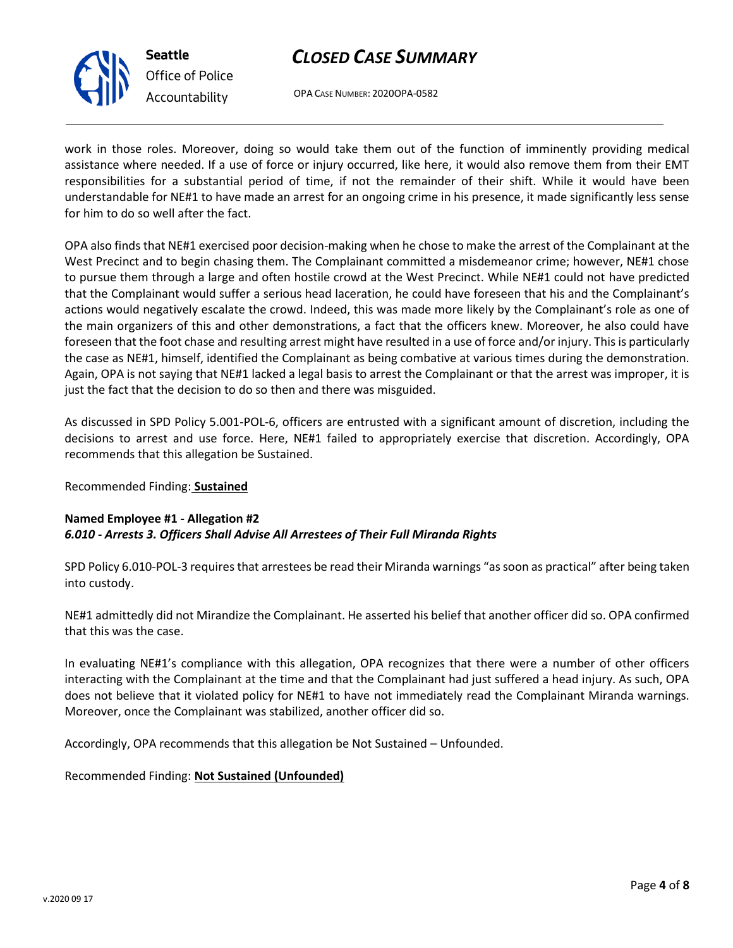

*Office of Police Accountability*

# *CLOSED CASE SUMMARY*

OPA CASE NUMBER: 2020OPA-0582

work in those roles. Moreover, doing so would take them out of the function of imminently providing medical assistance where needed. If a use of force or injury occurred, like here, it would also remove them from their EMT responsibilities for a substantial period of time, if not the remainder of their shift. While it would have been understandable for NE#1 to have made an arrest for an ongoing crime in his presence, it made significantly less sense for him to do so well after the fact.

OPA also finds that NE#1 exercised poor decision-making when he chose to make the arrest of the Complainant at the West Precinct and to begin chasing them. The Complainant committed a misdemeanor crime; however, NE#1 chose to pursue them through a large and often hostile crowd at the West Precinct. While NE#1 could not have predicted that the Complainant would suffer a serious head laceration, he could have foreseen that his and the Complainant's actions would negatively escalate the crowd. Indeed, this was made more likely by the Complainant's role as one of the main organizers of this and other demonstrations, a fact that the officers knew. Moreover, he also could have foreseen that the foot chase and resulting arrest might have resulted in a use of force and/or injury. This is particularly the case as NE#1, himself, identified the Complainant as being combative at various times during the demonstration. Again, OPA is not saying that NE#1 lacked a legal basis to arrest the Complainant or that the arrest was improper, it is just the fact that the decision to do so then and there was misguided.

As discussed in SPD Policy 5.001-POL-6, officers are entrusted with a significant amount of discretion, including the decisions to arrest and use force. Here, NE#1 failed to appropriately exercise that discretion. Accordingly, OPA recommends that this allegation be Sustained.

Recommended Finding: **Sustained**

## **Named Employee #1 - Allegation #2** *6.010 - Arrests 3. Officers Shall Advise All Arrestees of Their Full Miranda Rights*

SPD Policy 6.010-POL-3 requires that arrestees be read their Miranda warnings "as soon as practical" after being taken into custody.

NE#1 admittedly did not Mirandize the Complainant. He asserted his belief that another officer did so. OPA confirmed that this was the case.

In evaluating NE#1's compliance with this allegation, OPA recognizes that there were a number of other officers interacting with the Complainant at the time and that the Complainant had just suffered a head injury. As such, OPA does not believe that it violated policy for NE#1 to have not immediately read the Complainant Miranda warnings. Moreover, once the Complainant was stabilized, another officer did so.

Accordingly, OPA recommends that this allegation be Not Sustained – Unfounded.

## Recommended Finding: **Not Sustained (Unfounded)**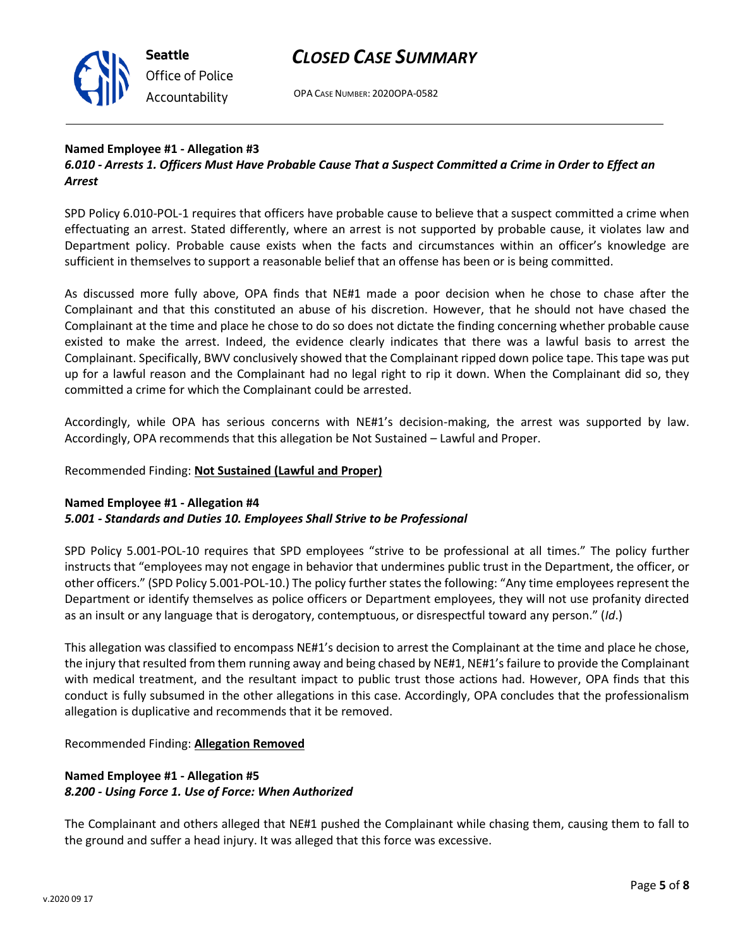

**Seattle** *Office of Police Accountability*

## *CLOSED CASE SUMMARY*

OPA CASE NUMBER: 2020OPA-0582

## **Named Employee #1 - Allegation #3**

## *6.010 - Arrests 1. Officers Must Have Probable Cause That a Suspect Committed a Crime in Order to Effect an Arrest*

SPD Policy 6.010-POL-1 requires that officers have probable cause to believe that a suspect committed a crime when effectuating an arrest. Stated differently, where an arrest is not supported by probable cause, it violates law and Department policy. Probable cause exists when the facts and circumstances within an officer's knowledge are sufficient in themselves to support a reasonable belief that an offense has been or is being committed.

As discussed more fully above, OPA finds that NE#1 made a poor decision when he chose to chase after the Complainant and that this constituted an abuse of his discretion. However, that he should not have chased the Complainant at the time and place he chose to do so does not dictate the finding concerning whether probable cause existed to make the arrest. Indeed, the evidence clearly indicates that there was a lawful basis to arrest the Complainant. Specifically, BWV conclusively showed that the Complainant ripped down police tape. This tape was put up for a lawful reason and the Complainant had no legal right to rip it down. When the Complainant did so, they committed a crime for which the Complainant could be arrested.

Accordingly, while OPA has serious concerns with NE#1's decision-making, the arrest was supported by law. Accordingly, OPA recommends that this allegation be Not Sustained – Lawful and Proper.

## Recommended Finding: **Not Sustained (Lawful and Proper)**

## **Named Employee #1 - Allegation #4**

## *5.001 - Standards and Duties 10. Employees Shall Strive to be Professional*

SPD Policy 5.001-POL-10 requires that SPD employees "strive to be professional at all times." The policy further instructs that "employees may not engage in behavior that undermines public trust in the Department, the officer, or other officers." (SPD Policy 5.001-POL-10.) The policy further states the following: "Any time employees represent the Department or identify themselves as police officers or Department employees, they will not use profanity directed as an insult or any language that is derogatory, contemptuous, or disrespectful toward any person." (*Id*.)

This allegation was classified to encompass NE#1's decision to arrest the Complainant at the time and place he chose, the injury that resulted from them running away and being chased by NE#1, NE#1's failure to provide the Complainant with medical treatment, and the resultant impact to public trust those actions had. However, OPA finds that this conduct is fully subsumed in the other allegations in this case. Accordingly, OPA concludes that the professionalism allegation is duplicative and recommends that it be removed.

#### Recommended Finding: **Allegation Removed**

## **Named Employee #1 - Allegation #5** *8.200 - Using Force 1. Use of Force: When Authorized*

The Complainant and others alleged that NE#1 pushed the Complainant while chasing them, causing them to fall to the ground and suffer a head injury. It was alleged that this force was excessive.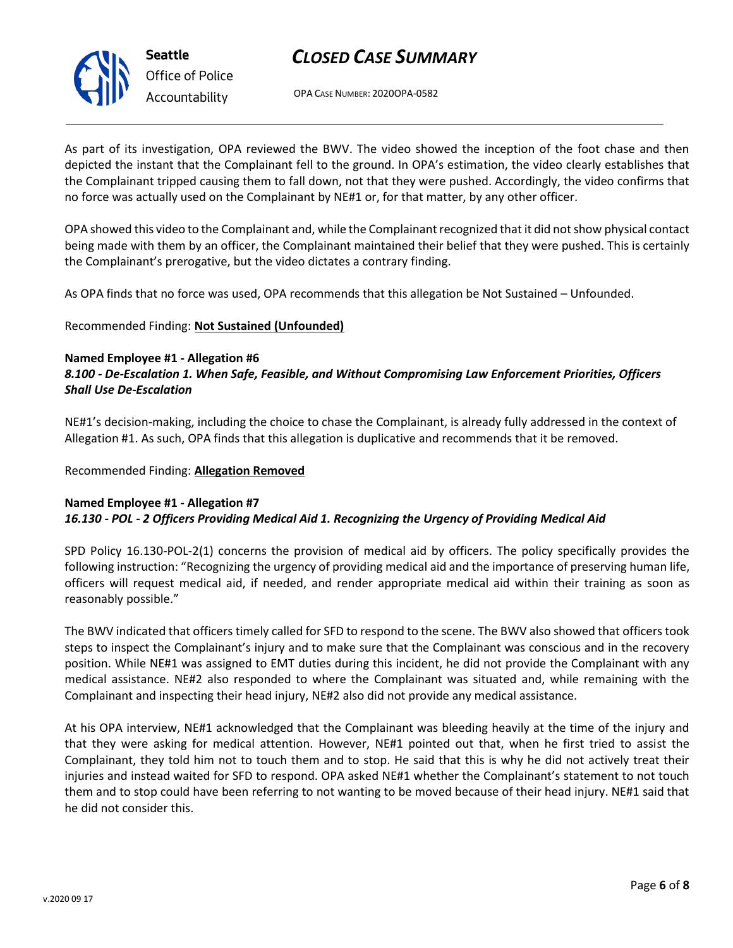

## *CLOSED CASE SUMMARY*

OPA CASE NUMBER: 2020OPA-0582

As part of its investigation, OPA reviewed the BWV. The video showed the inception of the foot chase and then depicted the instant that the Complainant fell to the ground. In OPA's estimation, the video clearly establishes that the Complainant tripped causing them to fall down, not that they were pushed. Accordingly, the video confirms that no force was actually used on the Complainant by NE#1 or, for that matter, by any other officer.

OPA showed this video to the Complainant and, while the Complainant recognized that it did not show physical contact being made with them by an officer, the Complainant maintained their belief that they were pushed. This is certainly the Complainant's prerogative, but the video dictates a contrary finding.

As OPA finds that no force was used, OPA recommends that this allegation be Not Sustained – Unfounded.

### Recommended Finding: **Not Sustained (Unfounded)**

#### **Named Employee #1 - Allegation #6** *8.100 - De-Escalation 1. When Safe, Feasible, and Without Compromising Law Enforcement Priorities, Officers Shall Use De-Escalation*

NE#1's decision-making, including the choice to chase the Complainant, is already fully addressed in the context of Allegation #1. As such, OPA finds that this allegation is duplicative and recommends that it be removed.

Recommended Finding: **Allegation Removed**

#### **Named Employee #1 - Allegation #7** *16.130 - POL - 2 Officers Providing Medical Aid 1. Recognizing the Urgency of Providing Medical Aid*

SPD Policy 16.130-POL-2(1) concerns the provision of medical aid by officers. The policy specifically provides the following instruction: "Recognizing the urgency of providing medical aid and the importance of preserving human life, officers will request medical aid, if needed, and render appropriate medical aid within their training as soon as reasonably possible."

The BWV indicated that officers timely called for SFD to respond to the scene. The BWV also showed that officers took steps to inspect the Complainant's injury and to make sure that the Complainant was conscious and in the recovery position. While NE#1 was assigned to EMT duties during this incident, he did not provide the Complainant with any medical assistance. NE#2 also responded to where the Complainant was situated and, while remaining with the Complainant and inspecting their head injury, NE#2 also did not provide any medical assistance.

At his OPA interview, NE#1 acknowledged that the Complainant was bleeding heavily at the time of the injury and that they were asking for medical attention. However, NE#1 pointed out that, when he first tried to assist the Complainant, they told him not to touch them and to stop. He said that this is why he did not actively treat their injuries and instead waited for SFD to respond. OPA asked NE#1 whether the Complainant's statement to not touch them and to stop could have been referring to not wanting to be moved because of their head injury. NE#1 said that he did not consider this.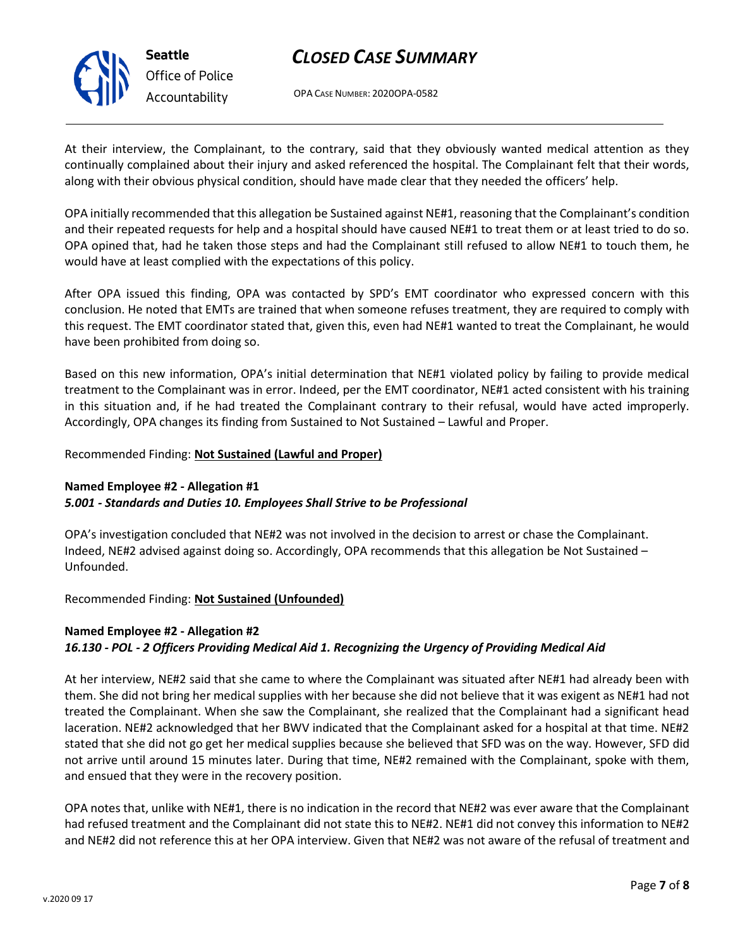

## *CLOSED CASE SUMMARY*

OPA CASE NUMBER: 2020OPA-0582

At their interview, the Complainant, to the contrary, said that they obviously wanted medical attention as they continually complained about their injury and asked referenced the hospital. The Complainant felt that their words, along with their obvious physical condition, should have made clear that they needed the officers' help.

OPA initially recommended that this allegation be Sustained against NE#1, reasoning that the Complainant's condition and their repeated requests for help and a hospital should have caused NE#1 to treat them or at least tried to do so. OPA opined that, had he taken those steps and had the Complainant still refused to allow NE#1 to touch them, he would have at least complied with the expectations of this policy.

After OPA issued this finding, OPA was contacted by SPD's EMT coordinator who expressed concern with this conclusion. He noted that EMTs are trained that when someone refuses treatment, they are required to comply with this request. The EMT coordinator stated that, given this, even had NE#1 wanted to treat the Complainant, he would have been prohibited from doing so.

Based on this new information, OPA's initial determination that NE#1 violated policy by failing to provide medical treatment to the Complainant was in error. Indeed, per the EMT coordinator, NE#1 acted consistent with his training in this situation and, if he had treated the Complainant contrary to their refusal, would have acted improperly. Accordingly, OPA changes its finding from Sustained to Not Sustained – Lawful and Proper.

### Recommended Finding: **Not Sustained (Lawful and Proper)**

## **Named Employee #2 - Allegation #1**

#### *5.001 - Standards and Duties 10. Employees Shall Strive to be Professional*

OPA's investigation concluded that NE#2 was not involved in the decision to arrest or chase the Complainant. Indeed, NE#2 advised against doing so. Accordingly, OPA recommends that this allegation be Not Sustained – Unfounded.

## Recommended Finding: **Not Sustained (Unfounded)**

## **Named Employee #2 - Allegation #2** *16.130 - POL - 2 Officers Providing Medical Aid 1. Recognizing the Urgency of Providing Medical Aid*

At her interview, NE#2 said that she came to where the Complainant was situated after NE#1 had already been with them. She did not bring her medical supplies with her because she did not believe that it was exigent as NE#1 had not treated the Complainant. When she saw the Complainant, she realized that the Complainant had a significant head laceration. NE#2 acknowledged that her BWV indicated that the Complainant asked for a hospital at that time. NE#2 stated that she did not go get her medical supplies because she believed that SFD was on the way. However, SFD did not arrive until around 15 minutes later. During that time, NE#2 remained with the Complainant, spoke with them, and ensued that they were in the recovery position.

OPA notes that, unlike with NE#1, there is no indication in the record that NE#2 was ever aware that the Complainant had refused treatment and the Complainant did not state this to NE#2. NE#1 did not convey this information to NE#2 and NE#2 did not reference this at her OPA interview. Given that NE#2 was not aware of the refusal of treatment and